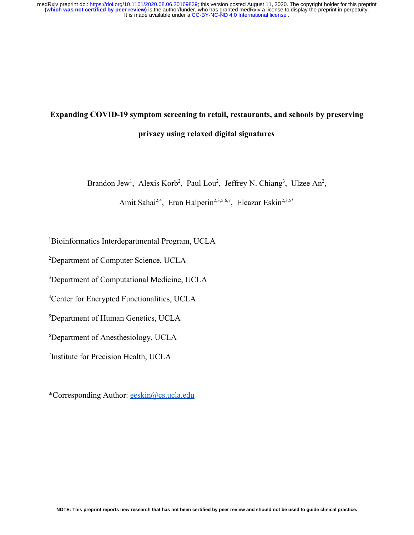# **Expanding COVID-19 symptom screening to retail, restaurants, and schools by preserving privacy using relaxed digital signatures**

Brandon Jew<sup>1</sup>, Alexis Korb<sup>2</sup>, Paul Lou<sup>2</sup>, Jeffrey N. Chiang<sup>3</sup>, Ulzee An<sup>2</sup>,

Amit Sahai<sup>2,4</sup>, Eran Halperin<sup>2,3,5,6,7</sup>, Eleazar Eskin<sup>2,3,5\*</sup>

<sup>1</sup>Bioinformatics Interdepartmental Program, UCLA

<sup>2</sup>Department of Computer Science, UCLA

<sup>3</sup>Department of Computational Medicine, UCLA

<sup>4</sup>Center for Encrypted Functionalities, UCLA

<sup>5</sup>Department of Human Genetics, UCLA

<sup>6</sup>Department of Anesthesiology, UCLA

7 Institute for Precision Health, UCLA

\*Corresponding Author: [eeskin@cs.ucla.edu](mailto:eeskin@cs.ucla.edu)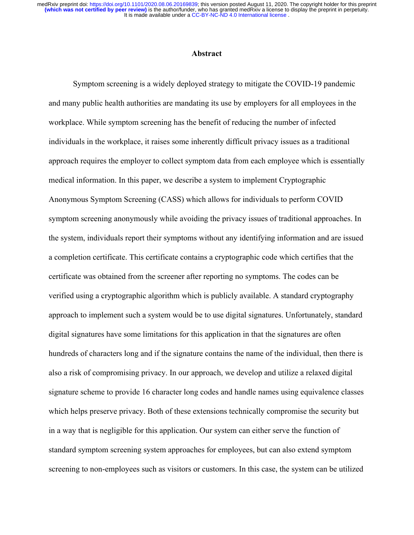It is made available under a [CC-BY-NC-ND 4.0 International license](http://creativecommons.org/licenses/by-nc-nd/4.0/) . **(which was not certified by peer review)** is the author/funder, who has granted medRxiv a license to display the preprint in perpetuity. medRxiv preprint doi: [https://doi.org/10.1101/2020.08.06.20169839;](https://doi.org/10.1101/2020.08.06.20169839) this version posted August 11, 2020. The copyright holder for this preprint

## **Abstract**

Symptom screening is a widely deployed strategy to mitigate the COVID-19 pandemic and many public health authorities are mandating its use by employers for all employees in the workplace. While symptom screening has the benefit of reducing the number of infected individuals in the workplace, it raises some inherently difficult privacy issues as a traditional approach requires the employer to collect symptom data from each employee which is essentially medical information. In this paper, we describe a system to implement Cryptographic Anonymous Symptom Screening (CASS) which allows for individuals to perform COVID symptom screening anonymously while avoiding the privacy issues of traditional approaches. In the system, individuals report their symptoms without any identifying information and are issued a completion certificate. This certificate contains a cryptographic code which certifies that the certificate was obtained from the screener after reporting no symptoms. The codes can be verified using a cryptographic algorithm which is publicly available. A standard cryptography approach to implement such a system would be to use digital signatures. Unfortunately, standard digital signatures have some limitations for this application in that the signatures are often hundreds of characters long and if the signature contains the name of the individual, then there is also a risk of compromising privacy. In our approach, we develop and utilize a relaxed digital signature scheme to provide 16 character long codes and handle names using equivalence classes which helps preserve privacy. Both of these extensions technically compromise the security but in a way that is negligible for this application. Our system can either serve the function of standard symptom screening system approaches for employees, but can also extend symptom screening to non-employees such as visitors or customers. In this case, the system can be utilized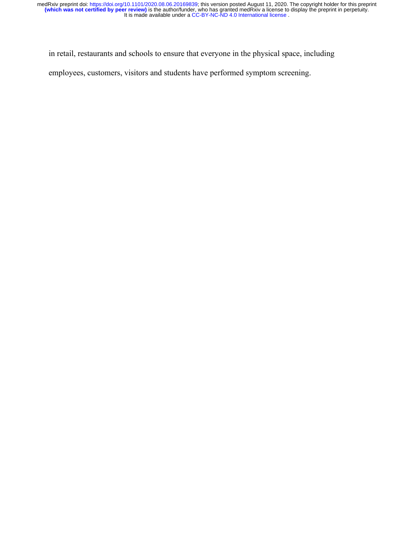in retail, restaurants and schools to ensure that everyone in the physical space, including

employees, customers, visitors and students have performed symptom screening.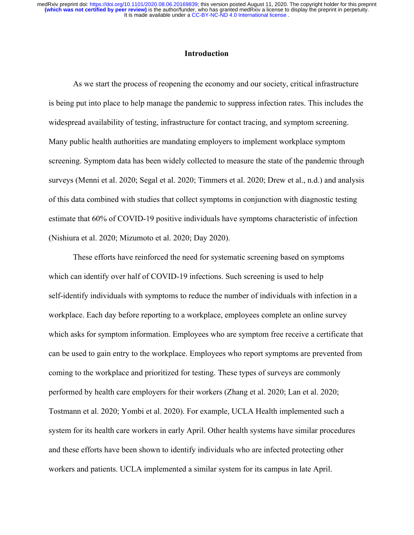# **Introduction**

As we start the process of reopening the economy and our society, critical infrastructure is being put into place to help manage the pandemic to suppress infection rates. This includes the widespread availability of testing, infrastructure for contact tracing, and symptom screening. Many public health authorities are mandating employers to implement workplace symptom screening. Symptom data has been widely collected to measure the state of the pandemic through surveys [\(Menni et al. 2020; Segal et al. 2020; Timmers et al. 2020; Drew et al., n.d.\)](https://paperpile.com/c/0gc7Xh/ZJhlu+7dIzB+mPMQ+HTryF) and analysis of this data combined with studies that collect symptoms in conjunction with diagnostic testing estimate that 60% of COVID-19 positive individuals have symptoms characteristic of infection [\(Nishiura et al. 2020; Mizumoto et al. 2020; Day 2020\).](https://paperpile.com/c/0gc7Xh/xGec5+pgrVp+9IG23)

These efforts have reinforced the need for systematic screening based on symptoms which can identify over half of COVID-19 infections. Such screening is used to help self-identify individuals with symptoms to reduce the number of individuals with infection in a workplace. Each day before reporting to a workplace, employees complete an online survey which asks for symptom information. Employees who are symptom free receive a certificate that can be used to gain entry to the workplace. Employees who report symptoms are prevented from coming to the workplace and prioritized for testing. These types of surveys are commonly performed by health care employers for their workers [\(Zhang et al. 2020; Lan et al. 2020;](https://paperpile.com/c/0gc7Xh/2gr4x+1CCZB+4EmPW+ctgRn) [Tostmann et al. 2020; Yombi et al. 2020\)](https://paperpile.com/c/0gc7Xh/2gr4x+1CCZB+4EmPW+ctgRn). For example, UCLA Health implemented such a system for its health care workers in early April. Other health systems have similar procedures and these efforts have been shown to identify individuals who are infected protecting other workers and patients. UCLA implemented a similar system for its campus in late April.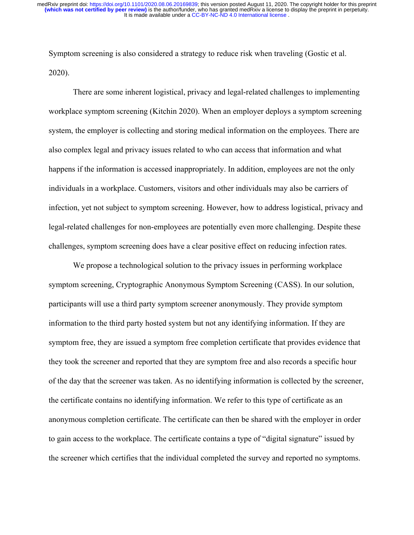Symptom screening is also considered a strategy to reduce risk when traveling [\(Gostic et al.](https://paperpile.com/c/0gc7Xh/BQYkk) [2020\).](https://paperpile.com/c/0gc7Xh/BQYkk)

There are some inherent logistical, privacy and legal-related challenges to implementing workplace symptom screening [\(Kitchin 2020\)](https://paperpile.com/c/0gc7Xh/Cz4ef). When an employer deploys a symptom screening system, the employer is collecting and storing medical information on the employees. There are also complex legal and privacy issues related to who can access that information and what happens if the information is accessed inappropriately. In addition, employees are not the only individuals in a workplace. Customers, visitors and other individuals may also be carriers of infection, yet not subject to symptom screening. However, how to address logistical, privacy and legal-related challenges for non-employees are potentially even more challenging. Despite these challenges, symptom screening does have a clear positive effect on reducing infection rates.

We propose a technological solution to the privacy issues in performing workplace symptom screening, Cryptographic Anonymous Symptom Screening (CASS). In our solution, participants will use a third party symptom screener anonymously. They provide symptom information to the third party hosted system but not any identifying information. If they are symptom free, they are issued a symptom free completion certificate that provides evidence that they took the screener and reported that they are symptom free and also records a specific hour of the day that the screener was taken. As no identifying information is collected by the screener, the certificate contains no identifying information. We refer to this type of certificate as an anonymous completion certificate. The certificate can then be shared with the employer in order to gain access to the workplace. The certificate contains a type of "digital signature" issued by the screener which certifies that the individual completed the survey and reported no symptoms.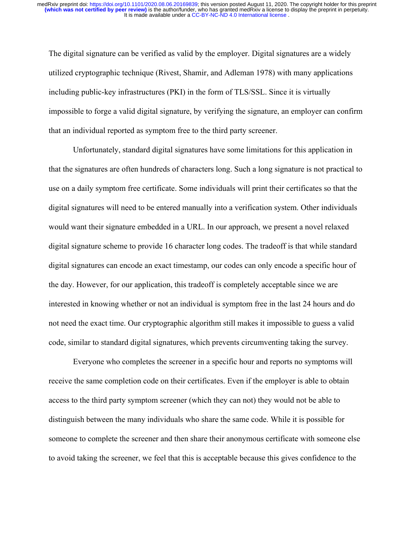The digital signature can be verified as valid by the employer. Digital signatures are a widely utilized cryptographic technique [\(Rivest, Shamir, and Adleman 1978\)](https://paperpile.com/c/0gc7Xh/I9ms) with many applications including public-key infrastructures (PKI) in the form of TLS/SSL. Since it is virtually impossible to forge a valid digital signature, by verifying the signature, an employer can confirm that an individual reported as symptom free to the third party screener.

Unfortunately, standard digital signatures have some limitations for this application in that the signatures are often hundreds of characters long. Such a long signature is not practical to use on a daily symptom free certificate. Some individuals will print their certificates so that the digital signatures will need to be entered manually into a verification system. Other individuals would want their signature embedded in a URL. In our approach, we present a novel relaxed digital signature scheme to provide 16 character long codes. The tradeoff is that while standard digital signatures can encode an exact timestamp, our codes can only encode a specific hour of the day. However, for our application, this tradeoff is completely acceptable since we are interested in knowing whether or not an individual is symptom free in the last 24 hours and do not need the exact time. Our cryptographic algorithm still makes it impossible to guess a valid code, similar to standard digital signatures, which prevents circumventing taking the survey.

Everyone who completes the screener in a specific hour and reports no symptoms will receive the same completion code on their certificates. Even if the employer is able to obtain access to the third party symptom screener (which they can not) they would not be able to distinguish between the many individuals who share the same code. While it is possible for someone to complete the screener and then share their anonymous certificate with someone else to avoid taking the screener, we feel that this is acceptable because this gives confidence to the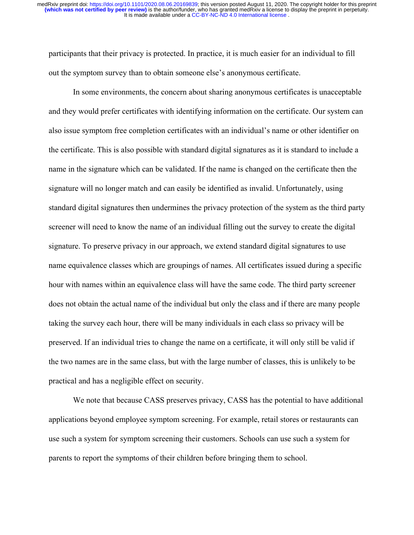participants that their privacy is protected. In practice, it is much easier for an individual to fill out the symptom survey than to obtain someone else's anonymous certificate.

In some environments, the concern about sharing anonymous certificates is unacceptable and they would prefer certificates with identifying information on the certificate. Our system can also issue symptom free completion certificates with an individual's name or other identifier on the certificate. This is also possible with standard digital signatures as it is standard to include a name in the signature which can be validated. If the name is changed on the certificate then the signature will no longer match and can easily be identified as invalid. Unfortunately, using standard digital signatures then undermines the privacy protection of the system as the third party screener will need to know the name of an individual filling out the survey to create the digital signature. To preserve privacy in our approach, we extend standard digital signatures to use name equivalence classes which are groupings of names. All certificates issued during a specific hour with names within an equivalence class will have the same code. The third party screener does not obtain the actual name of the individual but only the class and if there are many people taking the survey each hour, there will be many individuals in each class so privacy will be preserved. If an individual tries to change the name on a certificate, it will only still be valid if the two names are in the same class, but with the large number of classes, this is unlikely to be practical and has a negligible effect on security.

We note that because CASS preserves privacy, CASS has the potential to have additional applications beyond employee symptom screening. For example, retail stores or restaurants can use such a system for symptom screening their customers. Schools can use such a system for parents to report the symptoms of their children before bringing them to school.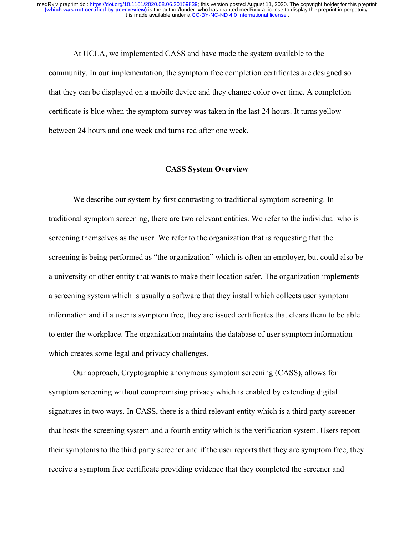At UCLA, we implemented CASS and have made the system available to the community. In our implementation, the symptom free completion certificates are designed so that they can be displayed on a mobile device and they change color over time. A completion certificate is blue when the symptom survey was taken in the last 24 hours. It turns yellow between 24 hours and one week and turns red after one week.

#### **CASS System Overview**

We describe our system by first contrasting to traditional symptom screening. In traditional symptom screening, there are two relevant entities. We refer to the individual who is screening themselves as the user. We refer to the organization that is requesting that the screening is being performed as "the organization" which is often an employer, but could also be a university or other entity that wants to make their location safer. The organization implements a screening system which is usually a software that they install which collects user symptom information and if a user is symptom free, they are issued certificates that clears them to be able to enter the workplace. The organization maintains the database of user symptom information which creates some legal and privacy challenges.

Our approach, Cryptographic anonymous symptom screening (CASS), allows for symptom screening without compromising privacy which is enabled by extending digital signatures in two ways. In CASS, there is a third relevant entity which is a third party screener that hosts the screening system and a fourth entity which is the verification system. Users report their symptoms to the third party screener and if the user reports that they are symptom free, they receive a symptom free certificate providing evidence that they completed the screener and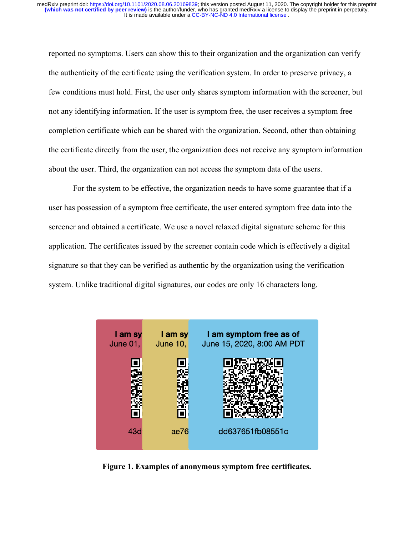reported no symptoms. Users can show this to their organization and the organization can verify the authenticity of the certificate using the verification system. In order to preserve privacy, a few conditions must hold. First, the user only shares symptom information with the screener, but not any identifying information. If the user is symptom free, the user receives a symptom free completion certificate which can be shared with the organization. Second, other than obtaining the certificate directly from the user, the organization does not receive any symptom information about the user. Third, the organization can not access the symptom data of the users.

For the system to be effective, the organization needs to have some guarantee that if a user has possession of a symptom free certificate, the user entered symptom free data into the screener and obtained a certificate. We use a novel relaxed digital signature scheme for this application. The certificates issued by the screener contain code which is effectively a digital signature so that they can be verified as authentic by the organization using the verification system. Unlike traditional digital signatures, our codes are only 16 characters long.



**Figure 1. Examples of anonymous symptom free certificates.**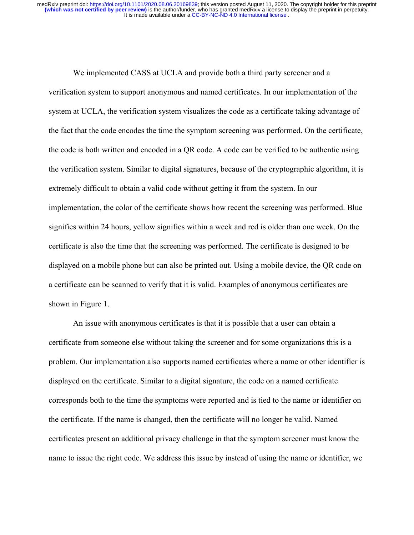We implemented CASS at UCLA and provide both a third party screener and a verification system to support anonymous and named certificates. In our implementation of the system at UCLA, the verification system visualizes the code as a certificate taking advantage of the fact that the code encodes the time the symptom screening was performed. On the certificate, the code is both written and encoded in a QR code. A code can be verified to be authentic using the verification system. Similar to digital signatures, because of the cryptographic algorithm, it is extremely difficult to obtain a valid code without getting it from the system. In our implementation, the color of the certificate shows how recent the screening was performed. Blue signifies within 24 hours, yellow signifies within a week and red is older than one week. On the certificate is also the time that the screening was performed. The certificate is designed to be displayed on a mobile phone but can also be printed out. Using a mobile device, the QR code on a certificate can be scanned to verify that it is valid. Examples of anonymous certificates are shown in Figure 1.

An issue with anonymous certificates is that it is possible that a user can obtain a certificate from someone else without taking the screener and for some organizations this is a problem. Our implementation also supports named certificates where a name or other identifier is displayed on the certificate. Similar to a digital signature, the code on a named certificate corresponds both to the time the symptoms were reported and is tied to the name or identifier on the certificate. If the name is changed, then the certificate will no longer be valid. Named certificates present an additional privacy challenge in that the symptom screener must know the name to issue the right code. We address this issue by instead of using the name or identifier, we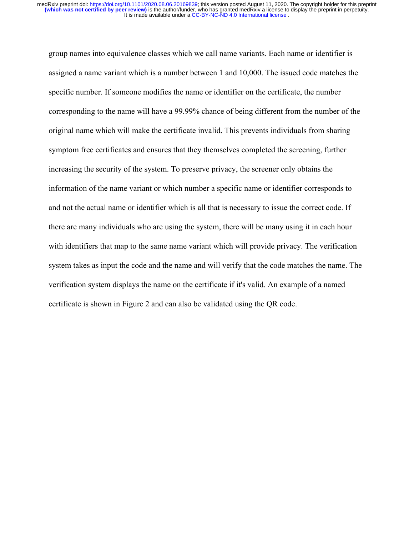group names into equivalence classes which we call name variants. Each name or identifier is assigned a name variant which is a number between 1 and 10,000. The issued code matches the specific number. If someone modifies the name or identifier on the certificate, the number corresponding to the name will have a 99.99% chance of being different from the number of the original name which will make the certificate invalid. This prevents individuals from sharing symptom free certificates and ensures that they themselves completed the screening, further increasing the security of the system. To preserve privacy, the screener only obtains the information of the name variant or which number a specific name or identifier corresponds to and not the actual name or identifier which is all that is necessary to issue the correct code. If there are many individuals who are using the system, there will be many using it in each hour with identifiers that map to the same name variant which will provide privacy. The verification system takes as input the code and the name and will verify that the code matches the name. The verification system displays the name on the certificate if it's valid. An example of a named certificate is shown in Figure 2 and can also be validated using the QR code.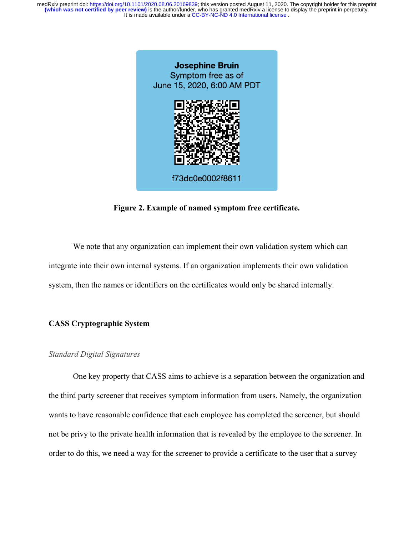

**Figure 2. Example of named symptom free certificate.**

We note that any organization can implement their own validation system which can integrate into their own internal systems. If an organization implements their own validation system, then the names or identifiers on the certificates would only be shared internally.

# **CASS Cryptographic System**

#### *Standard Digital Signatures*

One key property that CASS aims to achieve is a separation between the organization and the third party screener that receives symptom information from users. Namely, the organization wants to have reasonable confidence that each employee has completed the screener, but should not be privy to the private health information that is revealed by the employee to the screener. In order to do this, we need a way for the screener to provide a certificate to the user that a survey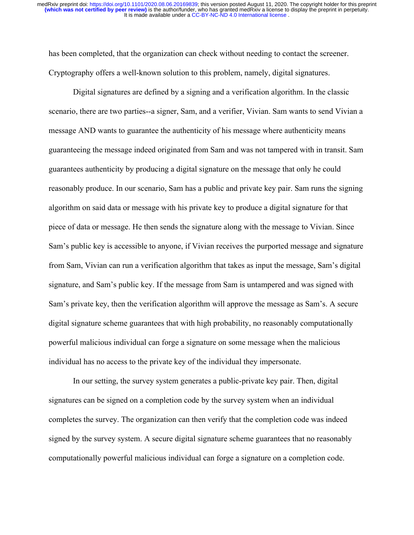has been completed, that the organization can check without needing to contact the screener. Cryptography offers a well-known solution to this problem, namely, digital signatures.

Digital signatures are defined by a signing and a verification algorithm. In the classic scenario, there are two parties--a signer, Sam, and a verifier, Vivian. Sam wants to send Vivian a message AND wants to guarantee the authenticity of his message where authenticity means guaranteeing the message indeed originated from Sam and was not tampered with in transit. Sam guarantees authenticity by producing a digital signature on the message that only he could reasonably produce. In our scenario, Sam has a public and private key pair. Sam runs the signing algorithm on said data or message with his private key to produce a digital signature for that piece of data or message. He then sends the signature along with the message to Vivian. Since Sam's public key is accessible to anyone, if Vivian receives the purported message and signature from Sam, Vivian can run a verification algorithm that takes as input the message, Sam's digital signature, and Sam's public key. If the message from Sam is untampered and was signed with Sam's private key, then the verification algorithm will approve the message as Sam's. A secure digital signature scheme guarantees that with high probability, no reasonably computationally powerful malicious individual can forge a signature on some message when the malicious individual has no access to the private key of the individual they impersonate.

In our setting, the survey system generates a public-private key pair. Then, digital signatures can be signed on a completion code by the survey system when an individual completes the survey. The organization can then verify that the completion code was indeed signed by the survey system. A secure digital signature scheme guarantees that no reasonably computationally powerful malicious individual can forge a signature on a completion code.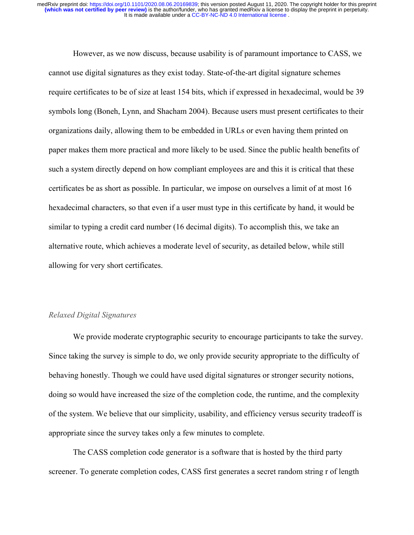However, as we now discuss, because usability is of paramount importance to CASS, we cannot use digital signatures as they exist today. State-of-the-art digital signature schemes require certificates to be of size at least 154 bits, which if expressed in hexadecimal, would be 39 symbols long [\(Boneh, Lynn, and Shacham 2004\).](https://paperpile.com/c/0gc7Xh/Hade) Because users must present certificates to their organizations daily, allowing them to be embedded in URLs or even having them printed on paper makes them more practical and more likely to be used. Since the public health benefits of such a system directly depend on how compliant employees are and this it is critical that these certificates be as short as possible. In particular, we impose on ourselves a limit of at most 16 hexadecimal characters, so that even if a user must type in this certificate by hand, it would be similar to typing a credit card number (16 decimal digits). To accomplish this, we take an alternative route, which achieves a moderate level of security, as detailed below, while still allowing for very short certificates.

## *Relaxed Digital Signatures*

We provide moderate cryptographic security to encourage participants to take the survey. Since taking the survey is simple to do, we only provide security appropriate to the difficulty of behaving honestly. Though we could have used digital signatures or stronger security notions, doing so would have increased the size of the completion code, the runtime, and the complexity of the system. We believe that our simplicity, usability, and efficiency versus security tradeoff is appropriate since the survey takes only a few minutes to complete.

The CASS completion code generator is a software that is hosted by the third party screener. To generate completion codes, CASS first generates a secret random string r of length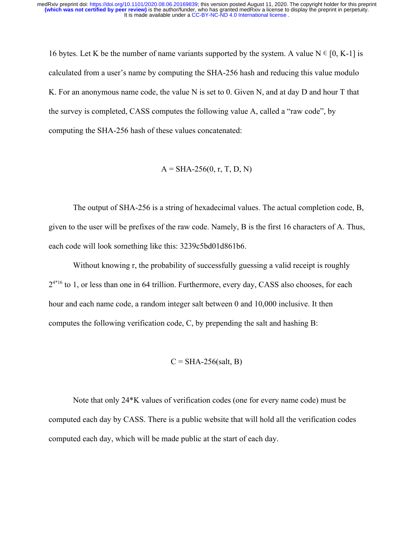16 bytes. Let K be the number of name variants supported by the system. A value  $N \in [0, K-1]$  is calculated from a user's name by computing the SHA-256 hash and reducing this value modulo K. For an anonymous name code, the value N is set to 0. Given N, and at day D and hour T that the survey is completed, CASS computes the following value A, called a "raw code", by computing the SHA-256 hash of these values concatenated:

 $A = SHA-256(0, r, T, D, N)$ 

The output of SHA-256 is a string of hexadecimal values. The actual completion code, B, given to the user will be prefixes of the raw code. Namely, B is the first 16 characters of A. Thus, each code will look something like this: 3239c5bd01d861b6.

Without knowing r, the probability of successfully guessing a valid receipt is roughly  $2^{4*16}$  to 1, or less than one in 64 trillion. Furthermore, every day, CASS also chooses, for each hour and each name code, a random integer salt between 0 and 10,000 inclusive. It then computes the following verification code, C, by prepending the salt and hashing B:

$$
C = SHA-256(salt, B)
$$

Note that only 24\*K values of verification codes (one for every name code) must be computed each day by CASS. There is a public website that will hold all the verification codes computed each day, which will be made public at the start of each day.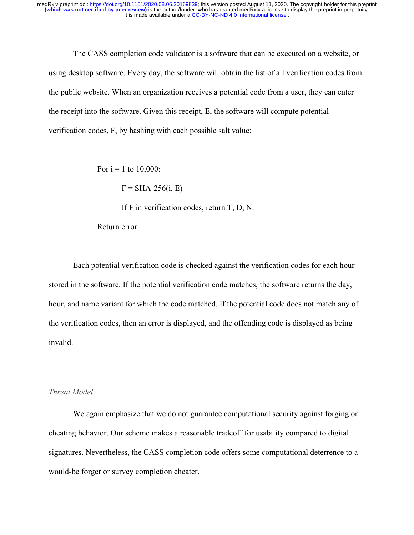The CASS completion code validator is a software that can be executed on a website, or using desktop software. Every day, the software will obtain the list of all verification codes from the public website. When an organization receives a potential code from a user, they can enter the receipt into the software. Given this receipt, E, the software will compute potential verification codes, F, by hashing with each possible salt value:

For  $i = 1$  to 10,000:

 $F = SHA-256(i, E)$ 

If F in verification codes, return T, D, N.

Return error.

Each potential verification code is checked against the verification codes for each hour stored in the software. If the potential verification code matches, the software returns the day, hour, and name variant for which the code matched. If the potential code does not match any of the verification codes, then an error is displayed, and the offending code is displayed as being invalid.

## *Threat Model*

We again emphasize that we do not guarantee computational security against forging or cheating behavior. Our scheme makes a reasonable tradeoff for usability compared to digital signatures. Nevertheless, the CASS completion code offers some computational deterrence to a would-be forger or survey completion cheater.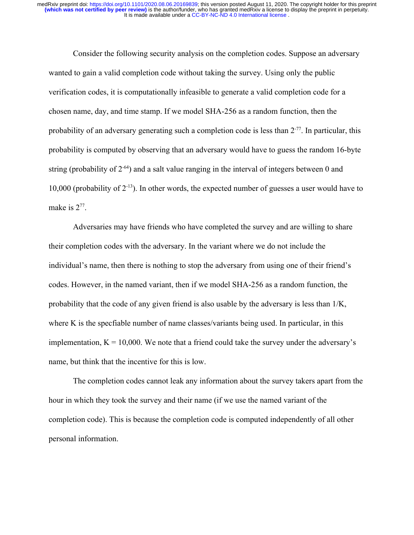Consider the following security analysis on the completion codes. Suppose an adversary wanted to gain a valid completion code without taking the survey. Using only the public verification codes, it is computationally infeasible to generate a valid completion code for a chosen name, day, and time stamp. If we model SHA-256 as a random function, then the probability of an adversary generating such a completion code is less than 2-77. In particular, this probability is computed by observing that an adversary would have to guess the random 16-byte string (probability of  $2^{-64}$ ) and a salt value ranging in the interval of integers between 0 and 10,000 (probability of 2-13). In other words, the expected number of guesses a user would have to make is  $2^{77}$ .

Adversaries may have friends who have completed the survey and are willing to share their completion codes with the adversary. In the variant where we do not include the individual's name, then there is nothing to stop the adversary from using one of their friend's codes. However, in the named variant, then if we model SHA-256 as a random function, the probability that the code of any given friend is also usable by the adversary is less than 1/K, where K is the specfiable number of name classes/variants being used. In particular, in this implementation,  $K = 10,000$ . We note that a friend could take the survey under the adversary's name, but think that the incentive for this is low.

The completion codes cannot leak any information about the survey takers apart from the hour in which they took the survey and their name (if we use the named variant of the completion code). This is because the completion code is computed independently of all other personal information.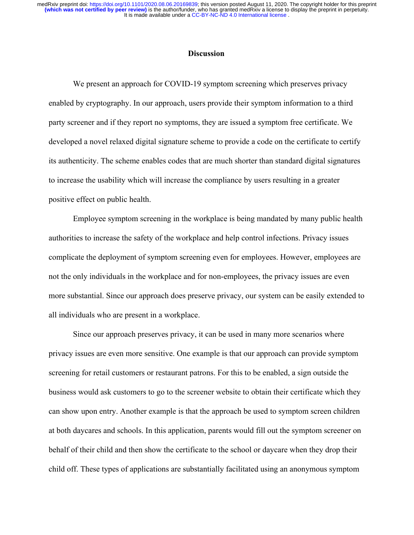#### **Discussion**

We present an approach for COVID-19 symptom screening which preserves privacy enabled by cryptography. In our approach, users provide their symptom information to a third party screener and if they report no symptoms, they are issued a symptom free certificate. We developed a novel relaxed digital signature scheme to provide a code on the certificate to certify its authenticity. The scheme enables codes that are much shorter than standard digital signatures to increase the usability which will increase the compliance by users resulting in a greater positive effect on public health.

Employee symptom screening in the workplace is being mandated by many public health authorities to increase the safety of the workplace and help control infections. Privacy issues complicate the deployment of symptom screening even for employees. However, employees are not the only individuals in the workplace and for non-employees, the privacy issues are even more substantial. Since our approach does preserve privacy, our system can be easily extended to all individuals who are present in a workplace.

Since our approach preserves privacy, it can be used in many more scenarios where privacy issues are even more sensitive. One example is that our approach can provide symptom screening for retail customers or restaurant patrons. For this to be enabled, a sign outside the business would ask customers to go to the screener website to obtain their certificate which they can show upon entry. Another example is that the approach be used to symptom screen children at both daycares and schools. In this application, parents would fill out the symptom screener on behalf of their child and then show the certificate to the school or daycare when they drop their child off. These types of applications are substantially facilitated using an anonymous symptom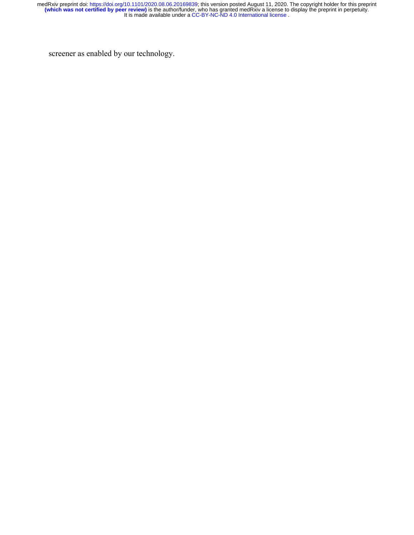screener as enabled by our technology.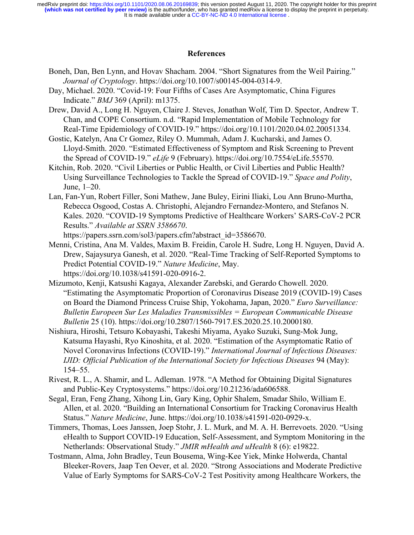It is made available under a [CC-BY-NC-ND 4.0 International license](http://creativecommons.org/licenses/by-nc-nd/4.0/) . **(which was not certified by peer review)** is the author/funder, who has granted medRxiv a license to display the preprint in perpetuity. medRxiv preprint doi: [https://doi.org/10.1101/2020.08.06.20169839;](https://doi.org/10.1101/2020.08.06.20169839) this version posted August 11, 2020. The copyright holder for this preprint

# **References**

- [Boneh, Dan, Ben Lynn, and Hovav Shacham. 2004. "Short Signatures from the Weil Pairing."](http://paperpile.com/b/0gc7Xh/Hade) *[Journal of Cryptology](http://paperpile.com/b/0gc7Xh/Hade)*[. https://doi.org/](http://paperpile.com/b/0gc7Xh/Hade)[10.1007/s00145-004-0314-9](http://dx.doi.org/10.1007/s00145-004-0314-9)[.](http://paperpile.com/b/0gc7Xh/Hade)
- [Day, Michael. 2020. "Covid-19: Four Fifths of Cases Are Asymptomatic, China Figures](http://paperpile.com/b/0gc7Xh/9IG23) [Indicate."](http://paperpile.com/b/0gc7Xh/9IG23) *[BMJ](http://paperpile.com/b/0gc7Xh/9IG23)* [369 \(April\): m1375.](http://paperpile.com/b/0gc7Xh/9IG23)
- [Drew, David A., Long H. Nguyen, Claire J. Steves, Jonathan Wolf, Tim D. Spector, Andrew T.](http://paperpile.com/b/0gc7Xh/HTryF) [Chan, and COPE Consortium. n.d. "Rapid Implementation of Mobile Technology for](http://paperpile.com/b/0gc7Xh/HTryF) [Real-Time Epidemiology of COVID-19." https://doi.org/](http://paperpile.com/b/0gc7Xh/HTryF)[10.1101/2020.04.02.20051334](http://dx.doi.org/10.1101/2020.04.02.20051334)[.](http://paperpile.com/b/0gc7Xh/HTryF)
- [Gostic, Katelyn, Ana Cr Gomez, Riley O. Mummah, Adam J. Kucharski, and James O.](http://paperpile.com/b/0gc7Xh/BQYkk) [Lloyd-Smith. 2020. "Estimated Effectiveness of Symptom and Risk Screening to Prevent](http://paperpile.com/b/0gc7Xh/BQYkk) [the Spread of COVID-19."](http://paperpile.com/b/0gc7Xh/BQYkk) *[eLife](http://paperpile.com/b/0gc7Xh/BQYkk)* [9 \(February\). https://doi.org/](http://paperpile.com/b/0gc7Xh/BQYkk)[10.7554/eLife.55570](http://dx.doi.org/10.7554/eLife.55570)[.](http://paperpile.com/b/0gc7Xh/BQYkk)
- [Kitchin, Rob. 2020. "Civil Liberties or Public Health, or Civil Liberties and Public Health?](http://paperpile.com/b/0gc7Xh/Cz4ef) [Using Surveillance Technologies to Tackle the Spread of COVID-19."](http://paperpile.com/b/0gc7Xh/Cz4ef) *[Space and Polity](http://paperpile.com/b/0gc7Xh/Cz4ef)*[,](http://paperpile.com/b/0gc7Xh/Cz4ef) [June, 1–20.](http://paperpile.com/b/0gc7Xh/Cz4ef)
- [Lan, Fan-Yun, Robert Filler, Soni Mathew, Jane Buley, Eirini Iliaki, Lou Ann Bruno-Murtha,](http://paperpile.com/b/0gc7Xh/1CCZB) [Rebecca Osgood, Costas A. Christophi, Alejandro Fernandez-Montero, and Stefanos N.](http://paperpile.com/b/0gc7Xh/1CCZB) [Kales. 2020. "COVID-19 Symptoms Predictive of Healthcare Workers' SARS-CoV-2 PCR](http://paperpile.com/b/0gc7Xh/1CCZB) [Results."](http://paperpile.com/b/0gc7Xh/1CCZB) *[Available at SSRN 3586670](http://paperpile.com/b/0gc7Xh/1CCZB)*[.](http://paperpile.com/b/0gc7Xh/1CCZB)

[https://papers.ssrn.com/sol3/papers.cfm?abstract\\_id=3586670](https://papers.ssrn.com/sol3/papers.cfm?abstract_id=3586670)[.](http://paperpile.com/b/0gc7Xh/1CCZB)

- [Menni, Cristina, Ana M. Valdes, Maxim B. Freidin, Carole H. Sudre, Long H. Nguyen, David A.](http://paperpile.com/b/0gc7Xh/ZJhlu) [Drew, Sajaysurya Ganesh, et al. 2020. "Real-Time Tracking of Self-Reported Symptoms to](http://paperpile.com/b/0gc7Xh/ZJhlu) [Predict Potential COVID-19."](http://paperpile.com/b/0gc7Xh/ZJhlu) *[Nature Medicine](http://paperpile.com/b/0gc7Xh/ZJhlu)*[, May.](http://paperpile.com/b/0gc7Xh/ZJhlu) [https://doi.org/](http://paperpile.com/b/0gc7Xh/ZJhlu)[10.1038/s41591-020-0916-2](http://dx.doi.org/10.1038/s41591-020-0916-2)[.](http://paperpile.com/b/0gc7Xh/ZJhlu)
- [Mizumoto, Kenji, Katsushi Kagaya, Alexander Zarebski, and Gerardo Chowell. 2020.](http://paperpile.com/b/0gc7Xh/pgrVp) ["Estimating the Asymptomatic Proportion of Coronavirus Disease 2019 \(COVID-19\) Cases](http://paperpile.com/b/0gc7Xh/pgrVp) [on Board the Diamond Princess Cruise Ship, Yokohama, Japan, 2020."](http://paperpile.com/b/0gc7Xh/pgrVp) *[Euro Surveillance:](http://paperpile.com/b/0gc7Xh/pgrVp) [Bulletin Europeen Sur Les Maladies Transmissibles = European Communicable Disease](http://paperpile.com/b/0gc7Xh/pgrVp) [Bulletin](http://paperpile.com/b/0gc7Xh/pgrVp)* [25 \(10\). https://doi.org/](http://paperpile.com/b/0gc7Xh/pgrVp)[10.2807/1560-7917.ES.2020.25.10.2000180](http://dx.doi.org/10.2807/1560-7917.ES.2020.25.10.2000180)[.](http://paperpile.com/b/0gc7Xh/pgrVp)
- [Nishiura, Hiroshi, Tetsuro Kobayashi, Takeshi Miyama, Ayako Suzuki, Sung-Mok Jung,](http://paperpile.com/b/0gc7Xh/xGec5) [Katsuma Hayashi, Ryo Kinoshita, et al. 2020. "Estimation of the Asymptomatic Ratio of](http://paperpile.com/b/0gc7Xh/xGec5) [Novel Coronavirus Infections \(COVID-19\)."](http://paperpile.com/b/0gc7Xh/xGec5) *[International Journal of Infectious Diseases:](http://paperpile.com/b/0gc7Xh/xGec5) [IJID: Official Publication of the International Society for Infectious Diseases](http://paperpile.com/b/0gc7Xh/xGec5)* [94 \(May\):](http://paperpile.com/b/0gc7Xh/xGec5) [154–55.](http://paperpile.com/b/0gc7Xh/xGec5)
- [Rivest, R. L., A. Shamir, and L. Adleman. 1978. "A Method for Obtaining Digital Signatures](http://paperpile.com/b/0gc7Xh/I9ms) [and Public-Key Cryptosystems." https://doi.org/](http://paperpile.com/b/0gc7Xh/I9ms)[10.21236/ada606588](http://dx.doi.org/10.21236/ada606588)[.](http://paperpile.com/b/0gc7Xh/I9ms)
- [Segal, Eran, Feng Zhang, Xihong Lin, Gary King, Ophir Shalem, Smadar Shilo, William E.](http://paperpile.com/b/0gc7Xh/7dIzB) [Allen, et al. 2020. "Building an International Consortium for Tracking Coronavirus Health](http://paperpile.com/b/0gc7Xh/7dIzB) [Status."](http://paperpile.com/b/0gc7Xh/7dIzB) *[Nature Medicine](http://paperpile.com/b/0gc7Xh/7dIzB)*[, June. https://doi.org/](http://paperpile.com/b/0gc7Xh/7dIzB)[10.1038/s41591-020-0929-x](http://dx.doi.org/10.1038/s41591-020-0929-x)[.](http://paperpile.com/b/0gc7Xh/7dIzB)
- [Timmers, Thomas, Loes Janssen, Joep Stohr, J. L. Murk, and M. A. H. Berrevoets. 2020. "Using](http://paperpile.com/b/0gc7Xh/mPMQ) [eHealth to Support COVID-19 Education, Self-Assessment, and Symptom Monitoring in the](http://paperpile.com/b/0gc7Xh/mPMQ) [Netherlands: Observational Study."](http://paperpile.com/b/0gc7Xh/mPMQ) *[JMIR mHealth and uHealth](http://paperpile.com/b/0gc7Xh/mPMQ)* [8 \(6\): e19822.](http://paperpile.com/b/0gc7Xh/mPMQ)
- [Tostmann, Alma, John Bradley, Teun Bousema, Wing-Kee Yiek, Minke Holwerda, Chantal](http://paperpile.com/b/0gc7Xh/4EmPW) [Bleeker-Rovers, Jaap Ten Oever, et al. 2020. "Strong Associations and Moderate Predictive](http://paperpile.com/b/0gc7Xh/4EmPW) [Value of Early Symptoms for SARS-CoV-2 Test Positivity among Healthcare Workers, the](http://paperpile.com/b/0gc7Xh/4EmPW)